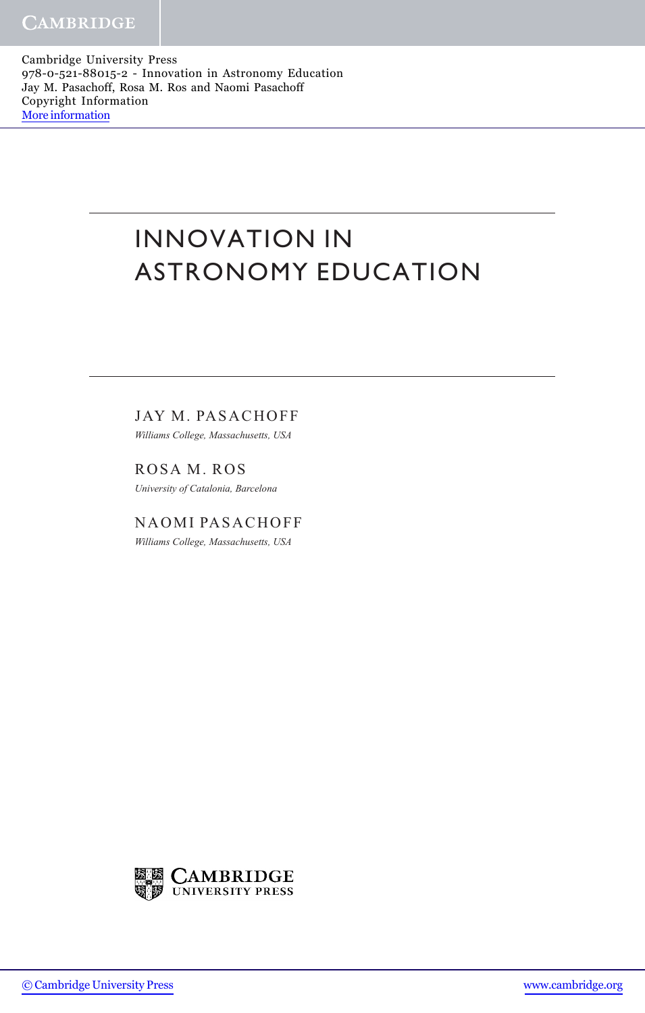Cambridge University Press 978-0-521-88015-2 - Innovation in Astronomy Education Jay M. Pasachoff, Rosa M. Ros and Naomi Pasachoff Copyright Information [More information](http://www.cambridge.org/9780521880152)

## INNOVATION IN ASTRONOMY EDUCATION

JAY M. PASACHOFF

Williams College, Massachusetts, USA

ROSA M. ROS University of Catalonia, Barcelona

NAOMI PASACHOFF Williams College, Massachusetts, USA



[© Cambridge University Press](http://www.cambridge.org) [www.cambridge.org](http://www.cambridge.org)